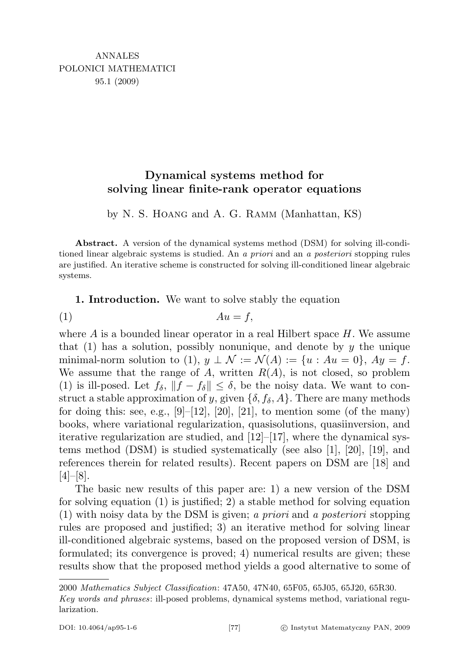## Dynamical systems method for solving linear finite-rank operator equations

by N. S. Hoang and A. G. Ramm (Manhattan, KS)

Abstract. A version of the dynamical systems method (DSM) for solving ill-conditioned linear algebraic systems is studied. An a priori and an a posteriori stopping rules are justified. An iterative scheme is constructed for solving ill-conditioned linear algebraic systems.

1. Introduction. We want to solve stably the equation

$$
(1) \t\t Au = f,
$$

where  $A$  is a bounded linear operator in a real Hilbert space  $H$ . We assume that  $(1)$  has a solution, possibly nonunique, and denote by y the unique minimal-norm solution to (1),  $y \perp \mathcal{N} := \mathcal{N}(A) := \{u : Au = 0\}$ ,  $Ay = f$ . We assume that the range of A, written  $R(A)$ , is not closed, so problem (1) is ill-posed. Let  $f_{\delta}$ ,  $\|f - f_{\delta}\| \leq \delta$ , be the noisy data. We want to construct a stable approximation of y, given  $\{\delta, f_{\delta}, A\}$ . There are many methods for doing this: see, e.g.,  $[9]-[12], [20], [21]$ , to mention some (of the many) books, where variational regularization, quasisolutions, quasiinversion, and iterative regularization are studied, and  $[12]-[17]$ , where the dynamical systems method (DSM) is studied systematically (see also [1], [20], [19], and references therein for related results). Recent papers on DSM are [18] and  $[4]-[8]$ .

The basic new results of this paper are: 1) a new version of the DSM for solving equation (1) is justified; 2) a stable method for solving equation (1) with noisy data by the DSM is given; a priori and a posteriori stopping rules are proposed and justified; 3) an iterative method for solving linear ill-conditioned algebraic systems, based on the proposed version of DSM, is formulated; its convergence is proved; 4) numerical results are given; these results show that the proposed method yields a good alternative to some of

<sup>2000</sup> Mathematics Subject Classification: 47A50, 47N40, 65F05, 65J05, 65J20, 65R30. Key words and phrases: ill-posed problems, dynamical systems method, variational regularization.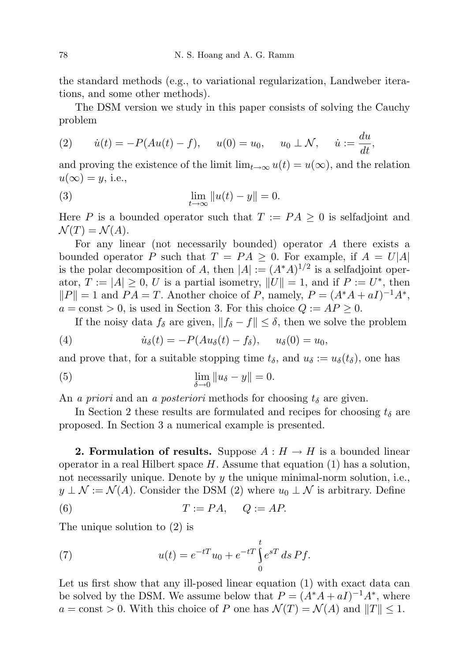the standard methods (e.g., to variational regularization, Landweber iterations, and some other methods).

The DSM version we study in this paper consists of solving the Cauchy problem

(2) 
$$
\dot{u}(t) = -P(Au(t) - f), \quad u(0) = u_0, \quad u_0 \perp \mathcal{N}, \quad \dot{u} := \frac{du}{dt},
$$

and proving the existence of the limit  $\lim_{t\to\infty} u(t) = u(\infty)$ , and the relation  $u(\infty) = y$ , i.e.,

(3) 
$$
\lim_{t \to \infty} ||u(t) - y|| = 0.
$$

Here P is a bounded operator such that  $T := PA \geq 0$  is selfadjoint and  $\mathcal{N}(T) = \mathcal{N}(A).$ 

For any linear (not necessarily bounded) operator A there exists a bounded operator P such that  $T = PA \geq 0$ . For example, if  $A = U|A|$ is the polar decomposition of A, then  $|A| := (A^*A)^{1/2}$  is a selfadjoint operator,  $T := |A| \geq 0$ , U is a partial isometry,  $||U|| = 1$ , and if  $P := U^*$ , then  $||P|| = 1$  and  $PA = T$ . Another choice of P, namely,  $P = (A^*A + aI)^{-1}A^*$ ,  $a = \text{const} > 0$ , is used in Section 3. For this choice  $Q := AP \geq 0$ .

If the noisy data  $f_\delta$  are given,  $||f_\delta - f|| \leq \delta$ , then we solve the problem

(4) 
$$
\dot{u}_{\delta}(t) = -P(Au_{\delta}(t) - f_{\delta}), \quad u_{\delta}(0) = u_0,
$$

and prove that, for a suitable stopping time  $t_{\delta}$ , and  $u_{\delta} := u_{\delta}(t_{\delta})$ , one has

(5) 
$$
\lim_{\delta \to 0} \|u_{\delta} - y\| = 0.
$$

An a priori and an a posteriori methods for choosing  $t_{\delta}$  are given.

In Section 2 these results are formulated and recipes for choosing  $t_{\delta}$  are proposed. In Section 3 a numerical example is presented.

**2. Formulation of results.** Suppose  $A: H \to H$  is a bounded linear operator in a real Hilbert space  $H$ . Assume that equation (1) has a solution, not necessarily unique. Denote by y the unique minimal-norm solution, i.e.,  $y \perp \mathcal{N} := \mathcal{N}(A)$ . Consider the DSM (2) where  $u_0 \perp \mathcal{N}$  is arbitrary. Define

$$
(6) \t\t T := PA, \tQ := AP.
$$

The unique solution to (2) is

(7) 
$$
u(t) = e^{-tT}u_0 + e^{-tT}\int_0^t e^{sT} ds Pf.
$$

Let us first show that any ill-posed linear equation (1) with exact data can be solved by the DSM. We assume below that  $P = (A^*A + aI)^{-1}A^*$ , where  $a = \text{const} > 0$ . With this choice of P one has  $\mathcal{N}(T) = \mathcal{N}(A)$  and  $||T|| \leq 1$ .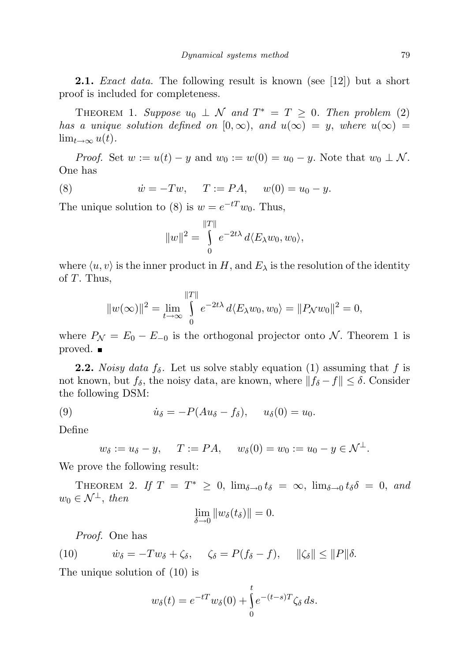**2.1.** *Exact data*. The following result is known (see [12]) but a short proof is included for completeness.

THEOREM 1. Suppose  $u_0 \perp \mathcal{N}$  and  $T^* = T \geq 0$ . Then problem (2) has a unique solution defined on  $[0, \infty)$ , and  $u(\infty) = y$ , where  $u(\infty) =$  $\lim_{t\to\infty}u(t).$ 

*Proof.* Set  $w := u(t) - y$  and  $w_0 := w(0) = u_0 - y$ . Note that  $w_0 \perp \mathcal{N}$ . One has

(8) 
$$
\dot{w} = -Tw, \quad T := PA, \quad w(0) = u_0 - y.
$$

The unique solution to (8) is  $w = e^{-tT}w_0$ . Thus,

$$
||w||^2 = \int_0^{||T||} e^{-2t\lambda} d\langle E_\lambda w_0, w_0 \rangle,
$$

where  $\langle u, v \rangle$  is the inner product in H, and  $E_{\lambda}$  is the resolution of the identity of  $T$ . Thus,

$$
||w(\infty)||^2 = \lim_{t \to \infty} \int_{0}^{||T||} e^{-2t\lambda} d\langle E_{\lambda} w_0, w_0 \rangle = ||P_N w_0||^2 = 0,
$$

where  $P_{\mathcal{N}} = E_0 - E_{-0}$  is the orthogonal projector onto  $\mathcal{N}$ . Theorem 1 is proved.

**2.2.** Noisy data  $f_{\delta}$ . Let us solve stably equation (1) assuming that f is not known, but  $f_\delta$ , the noisy data, are known, where  $||f_\delta - f|| \leq \delta$ . Consider the following DSM:

(9) 
$$
\dot{u}_{\delta} = -P(Au_{\delta} - f_{\delta}), \quad u_{\delta}(0) = u_0.
$$

Define

$$
w_{\delta} := u_{\delta} - y
$$
,  $T := PA$ ,  $w_{\delta}(0) = w_0 := u_0 - y \in \mathcal{N}^{\perp}$ .

We prove the following result:

THEOREM 2. If  $T = T^* \geq 0$ ,  $\lim_{\delta \to 0} t_{\delta} = \infty$ ,  $\lim_{\delta \to 0} t_{\delta} \delta = 0$ , and  $w_0 \in \mathcal{N}^{\perp}$ , then

$$
\lim_{\delta \to 0} \|w_{\delta}(t_{\delta})\| = 0.
$$

Proof. One has

(10) 
$$
\dot{w}_{\delta} = -Tw_{\delta} + \zeta_{\delta}, \quad \zeta_{\delta} = P(f_{\delta} - f), \quad ||\zeta_{\delta}|| \le ||P||\delta.
$$

The unique solution of (10) is

$$
w_{\delta}(t) = e^{-tT} w_{\delta}(0) + \int_{0}^{t} e^{-(t-s)T} \zeta_{\delta} ds.
$$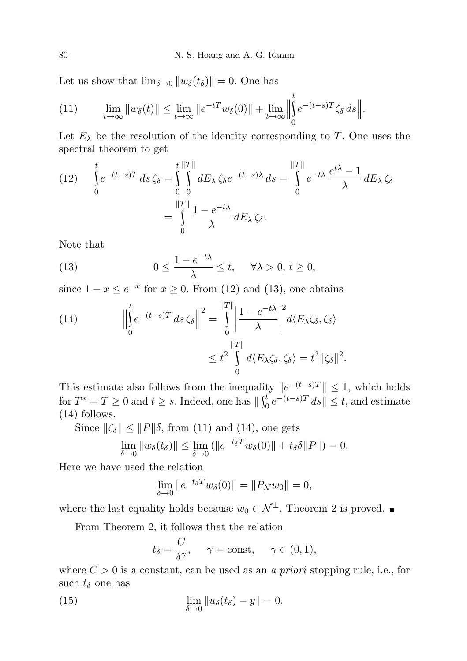Let us show that  $\lim_{\delta \to 0} ||w_{\delta}(t_{\delta})|| = 0$ . One has

(11) 
$$
\lim_{t \to \infty} ||w_{\delta}(t)|| \le \lim_{t \to \infty} ||e^{-tT}w_{\delta}(0)|| + \lim_{t \to \infty} \left\| \int_{0}^{t} e^{-(t-s)T} \zeta_{\delta} ds \right\|.
$$

Let  $E_{\lambda}$  be the resolution of the identity corresponding to T. One uses the spectral theorem to get

(12) 
$$
\int_{0}^{t} e^{-(t-s)T} ds \zeta_{\delta} = \int_{0}^{t} \int_{0}^{||T||} dE_{\lambda} \zeta_{\delta} e^{-(t-s)\lambda} ds = \int_{0}^{||T||} e^{-t\lambda} \frac{e^{t\lambda} - 1}{\lambda} dE_{\lambda} \zeta_{\delta}
$$

$$
= \int_{0}^{||T||} \frac{1 - e^{-t\lambda}}{\lambda} dE_{\lambda} \zeta_{\delta}.
$$

Note that

(13) 
$$
0 \le \frac{1 - e^{-t\lambda}}{\lambda} \le t, \quad \forall \lambda > 0, t \ge 0,
$$

since  $1 - x \le e^{-x}$  for  $x \ge 0$ . From (12) and (13), one obtains

(14) 
$$
\left\| \int_{0}^{t} e^{-(t-s)T} ds \zeta_{\delta} \right\|^{2} = \int_{0}^{\|T\|} \left| \frac{1 - e^{-t\lambda}}{\lambda} \right|^{2} d\langle E_{\lambda} \zeta_{\delta}, \zeta_{\delta} \rangle
$$

$$
\leq t^{2} \int_{0}^{\|T\|} d\langle E_{\lambda} \zeta_{\delta}, \zeta_{\delta} \rangle = t^{2} \|\zeta_{\delta}\|^{2}.
$$

This estimate also follows from the inequality  $||e^{-(t-s)T}|| \leq 1$ , which holds for  $T^* = T \ge 0$  and  $t \ge s$ . Indeed, one has  $\|\int_0^t e^{-(t-s)T} ds\| \le t$ , and estimate (14) follows.

Since  $\|\zeta_{\delta}\| \leq \|P\|\delta$ , from (11) and (14), one gets

$$
\lim_{\delta \to 0} \|w_{\delta}(t_{\delta})\| \le \lim_{\delta \to 0} (||e^{-t_{\delta}T}w_{\delta}(0)|| + t_{\delta} \delta||P||) = 0.
$$

Here we have used the relation

$$
\lim_{\delta \to 0} \|e^{-t_{\delta}T} w_{\delta}(0)\| = \|P_{\mathcal{N}} w_0\| = 0,
$$

where the last equality holds because  $w_0 \in \mathcal{N}^{\perp}$ . Theorem 2 is proved. ■

From Theorem 2, it follows that the relation

$$
t_{\delta} = \frac{C}{\delta \gamma}, \quad \gamma = \text{const}, \quad \gamma \in (0, 1),
$$

where  $C > 0$  is a constant, can be used as an *a priori* stopping rule, i.e., for such  $t_{\delta}$  one has

(15) 
$$
\lim_{\delta \to 0} \|u_{\delta}(t_{\delta}) - y\| = 0.
$$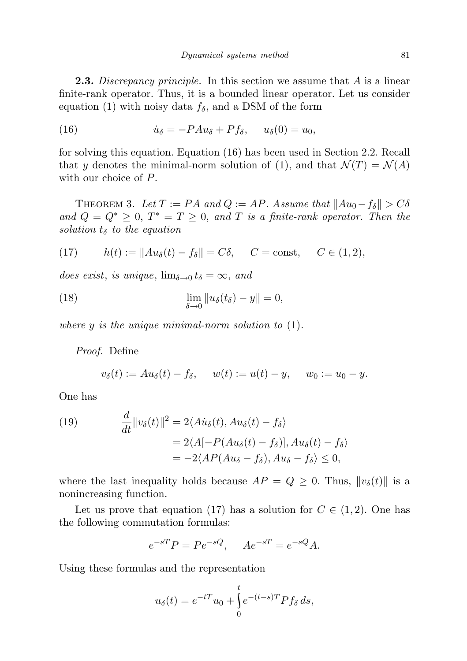**2.3.** Discrepancy principle. In this section we assume that  $A$  is a linear finite-rank operator. Thus, it is a bounded linear operator. Let us consider equation (1) with noisy data  $f_{\delta}$ , and a DSM of the form

(16) 
$$
\dot{u}_{\delta} = -P A u_{\delta} + P f_{\delta}, \quad u_{\delta}(0) = u_0,
$$

for solving this equation. Equation (16) has been used in Section 2.2. Recall that y denotes the minimal-norm solution of (1), and that  $\mathcal{N}(T) = \mathcal{N}(A)$ with our choice of P.

THEOREM 3. Let  $T := PA$  and  $Q := AP$ . Assume that  $||Au_0 - f_\delta|| > C\delta$ and  $Q = Q^* \geq 0$ ,  $T^* = T \geq 0$ , and T is a finite-rank operator. Then the solution  $t_{\delta}$  to the equation

(17) 
$$
h(t) := \|Au_{\delta}(t) - f_{\delta}\| = C\delta, \quad C = \text{const}, \quad C \in (1, 2),
$$

does exist, is unique,  $\lim_{\delta \to 0} t_{\delta} = \infty$ , and

(18) 
$$
\lim_{\delta \to 0} ||u_{\delta}(t_{\delta}) - y|| = 0,
$$

where  $y$  is the unique minimal-norm solution to  $(1)$ .

Proof. Define

$$
v_{\delta}(t) := Au_{\delta}(t) - f_{\delta}, \quad w(t) := u(t) - y, \quad w_0 := u_0 - y.
$$

One has

(19) 
$$
\frac{d}{dt} ||v_{\delta}(t)||^{2} = 2\langle A\dot{u}_{\delta}(t), Au_{\delta}(t) - f_{\delta} \rangle
$$

$$
= 2\langle A[-P(Au_{\delta}(t) - f_{\delta})], Au_{\delta}(t) - f_{\delta} \rangle
$$

$$
= -2\langle AP(Au_{\delta} - f_{\delta}), Au_{\delta} - f_{\delta} \rangle \leq 0,
$$

where the last inequality holds because  $AP = Q \geq 0$ . Thus,  $||v_{\delta}(t)||$  is a nonincreasing function.

Let us prove that equation (17) has a solution for  $C \in (1, 2)$ . One has the following commutation formulas:

$$
e^{-sT}P = Pe^{-sQ}, \quad Ae^{-sT} = e^{-sQ}A.
$$

Using these formulas and the representation

$$
u_{\delta}(t) = e^{-tT}u_0 + \int_0^t e^{-(t-s)T}Pf_{\delta} ds,
$$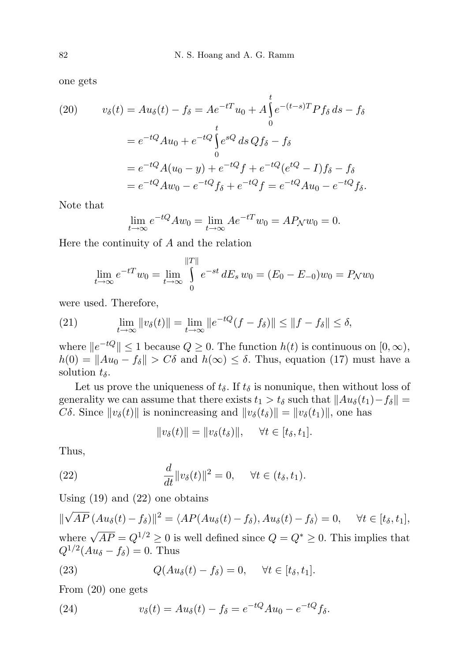one gets

(20) 
$$
v_{\delta}(t) = Au_{\delta}(t) - f_{\delta} = Ae^{-tT}u_{0} + A\int_{0}^{t} e^{-(t-s)T}Pf_{\delta} ds - f_{\delta}
$$

$$
= e^{-tQ}Au_{0} + e^{-tQ}\int_{0}^{t} e^{sQ} ds Qf_{\delta} - f_{\delta}
$$

$$
= e^{-tQ}A(u_{0} - y) + e^{-tQ}f + e^{-tQ}(e^{tQ} - I)f_{\delta} - f_{\delta}
$$

$$
= e^{-tQ}Au_{0} - e^{-tQ}f_{\delta} + e^{-tQ}f = e^{-tQ}Au_{0} - e^{-tQ}f_{\delta}.
$$

Note that

$$
\lim_{t \to \infty} e^{-tQ} A w_0 = \lim_{t \to \infty} A e^{-tT} w_0 = A P_N w_0 = 0.
$$

Here the continuity of  $A$  and the relation

$$
\lim_{t \to \infty} e^{-tT} w_0 = \lim_{t \to \infty} \int_{0}^{\|T\|} e^{-st} dE_s w_0 = (E_0 - E_{-0})w_0 = P_N w_0
$$

were used. Therefore,

(21) 
$$
\lim_{t \to \infty} ||v_{\delta}(t)|| = \lim_{t \to \infty} ||e^{-tQ}(f - f_{\delta})|| \le ||f - f_{\delta}|| \le \delta,
$$

where  $||e^{-tQ}|| \leq 1$  because  $Q \geq 0$ . The function  $h(t)$  is continuous on  $[0, \infty)$ ,  $h(0) = ||Au_0 - f_\delta|| > C\delta$  and  $h(\infty) \leq \delta$ . Thus, equation (17) must have a solution  $t_{\delta}$ .

Let us prove the uniqueness of  $t_{\delta}$ . If  $t_{\delta}$  is nonunique, then without loss of generality we can assume that there exists  $t_1 > t_\delta$  such that  $||Au_\delta(t_1)-f_\delta|| =$ Cδ. Since  $||v_\delta(t)||$  is nonincreasing and  $||v_\delta(t_\delta)|| = ||v_\delta(t_1)||$ , one has

$$
||v_\delta(t)|| = ||v_\delta(t_\delta)||, \quad \forall t \in [t_\delta, t_1].
$$

Thus,

(22) 
$$
\frac{d}{dt}||v_{\delta}(t)||^{2} = 0, \quad \forall t \in (t_{\delta}, t_{1}).
$$

Using  $(19)$  and  $(22)$  one obtains

 $\parallel$ √  $\overline{AP}\left(A u_{\delta}(t) - f_{\delta}\right)\Vert^{2} = \langle AP(A u_{\delta}(t) - f_{\delta}), A u_{\delta}(t) - f_{\delta} \rangle = 0, \quad \forall t \in [t_{\delta}, t_{1}],$ where  $\sqrt{AP} = Q^{1/2} \ge 0$  is well defined since  $Q = Q^* \ge 0$ . This implies that  $Q^{1/2}(Au_{\delta}-f_{\delta})=0.$  Thus

(23) 
$$
Q(Au_{\delta}(t) - f_{\delta}) = 0, \quad \forall t \in [t_{\delta}, t_1].
$$

From (20) one gets

(24) 
$$
v_{\delta}(t) = Au_{\delta}(t) - f_{\delta} = e^{-tQ}Au_0 - e^{-tQ}f_{\delta}.
$$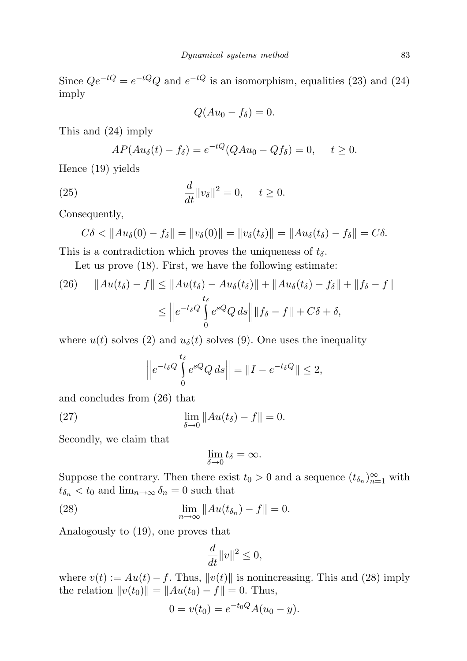Since  $Qe^{-tQ} = e^{-tQ}Q$  and  $e^{-tQ}$  is an isomorphism, equalities (23) and (24) imply

$$
Q(Au_0 - f_\delta) = 0.
$$

This and (24) imply

$$
AP(Au_{\delta}(t) - f_{\delta}) = e^{-tQ}(QAu_0 - Qf_{\delta}) = 0, \quad t \ge 0.
$$

Hence (19) yields

(25) 
$$
\frac{d}{dt}||v_{\delta}||^{2} = 0, \quad t \ge 0.
$$

Consequently,

$$
C\delta < \|Au_{\delta}(0) - f_{\delta}\| = \|v_{\delta}(0)\| = \|v_{\delta}(t_{\delta})\| = \|Au_{\delta}(t_{\delta}) - f_{\delta}\| = C\delta.
$$

This is a contradiction which proves the uniqueness of  $t_{\delta}$ .

Let us prove (18). First, we have the following estimate:

(26) 
$$
||Au(t_\delta) - f|| \le ||Au(t_\delta) - Au_\delta(t_\delta)|| + ||Au_\delta(t_\delta) - f_\delta|| + ||f_\delta - f||
$$

$$
\le ||e^{-t_\delta Q} \int_0^{t_\delta} e^{sQ} Q ds || ||f_\delta - f|| + C\delta + \delta,
$$

where  $u(t)$  solves (2) and  $u_{\delta}(t)$  solves (9). One uses the inequality

$$
\left\|e^{-t_{\delta}Q}\int\limits_{0}^{t_{\delta}}e^{sQ}Q\,ds\right\| = \|I - e^{-t_{\delta}Q}\| \le 2,
$$

and concludes from (26) that

(27) 
$$
\lim_{\delta \to 0} \|Au(t_{\delta}) - f\| = 0.
$$

Secondly, we claim that

$$
\lim_{\delta\to 0}t_\delta=\infty.
$$

Suppose the contrary. Then there exist  $t_0 > 0$  and a sequence  $(t_{\delta_n})_{n=1}^{\infty}$  with  $t_{\delta_n} < t_0$  and  $\lim_{n \to \infty} \delta_n = 0$  such that

(28) 
$$
\lim_{n \to \infty} ||Au(t_{\delta_n}) - f|| = 0.
$$

Analogously to (19), one proves that

$$
\frac{d}{dt}||v||^2 \le 0,
$$

where  $v(t) := Au(t) - f$ . Thus,  $||v(t)||$  is nonincreasing. This and (28) imply the relation  $||v(t_0)|| = ||Au(t_0) - f|| = 0$ . Thus,

$$
0 = v(t_0) = e^{-t_0 Q} A(u_0 - y).
$$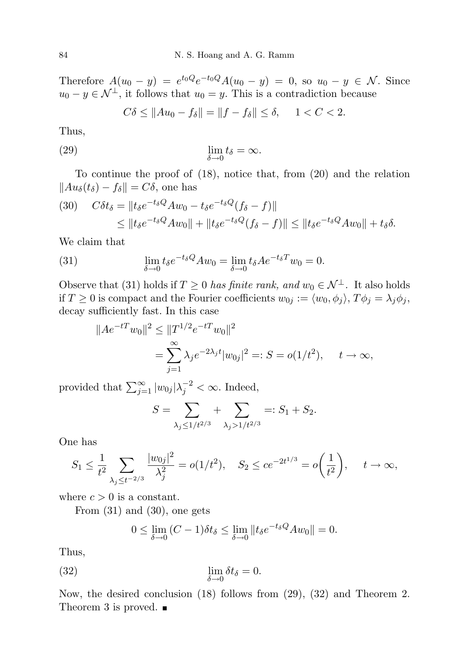Therefore  $A(u_0 - y) = e^{t_0 Q} e^{-t_0 Q} A(u_0 - y) = 0$ , so  $u_0 - y \in \mathcal{N}$ . Since  $u_0 - y \in \mathcal{N}^{\perp}$ , it follows that  $u_0 = y$ . This is a contradiction because

$$
C\delta \le \|Au_0 - f_\delta\| = \|f - f_\delta\| \le \delta, \quad 1 < C < 2.
$$

Thus,

(29) 
$$
\lim_{\delta \to 0} t_{\delta} = \infty.
$$

To continue the proof of (18), notice that, from (20) and the relation  $||Au_{\delta}(t_{\delta}) - f_{\delta}|| = C\delta$ , one has

$$
(30) \quad C\delta t_{\delta} = ||t_{\delta}e^{-t_{\delta}Q}Aw_0 - t_{\delta}e^{-t_{\delta}Q}(f_{\delta} - f)||
$$
  

$$
\leq ||t_{\delta}e^{-t_{\delta}Q}Aw_0|| + ||t_{\delta}e^{-t_{\delta}Q}(f_{\delta} - f)|| \leq ||t_{\delta}e^{-t_{\delta}Q}Aw_0|| + t_{\delta}\delta.
$$

We claim that

(31) 
$$
\lim_{\delta \to 0} t_{\delta} e^{-t_{\delta} Q} A w_0 = \lim_{\delta \to 0} t_{\delta} A e^{-t_{\delta} T} w_0 = 0.
$$

Observe that (31) holds if  $T \geq 0$  has finite rank, and  $w_0 \in \mathcal{N}^{\perp}$ . It also holds if  $T \geq 0$  is compact and the Fourier coefficients  $w_{0j} := \langle w_0, \phi_j \rangle$ ,  $T\phi_j = \lambda_j \phi_j$ , decay sufficiently fast. In this case

$$
||Ae^{-tT}w_0||^2 \le ||T^{1/2}e^{-tT}w_0||^2
$$
  
= 
$$
\sum_{j=1}^{\infty} \lambda_j e^{-2\lambda_j t} |w_{0j}|^2 =: S = o(1/t^2), \quad t \to \infty,
$$

provided that  $\sum_{j=1}^{\infty} |w_{0j}| \lambda_j^{-2} < \infty$ . Indeed,

$$
S = \sum_{\lambda_j \le 1/t^{2/3}} + \sum_{\lambda_j > 1/t^{2/3}} =: S_1 + S_2.
$$

One has

$$
S_1 \le \frac{1}{t^2} \sum_{\lambda_j \le t^{-2/3}} \frac{|w_{0j}|^2}{\lambda_j^2} = o(1/t^2), \quad S_2 \le ce^{-2t^{1/3}} = o\left(\frac{1}{t^2}\right), \quad t \to \infty,
$$

where  $c > 0$  is a constant.

From (31) and (30), one gets

$$
0 \le \lim_{\delta \to 0} (C - 1)\delta t_{\delta} \le \lim_{\delta \to 0} ||t_{\delta} e^{-t_{\delta}Q} A w_0|| = 0.
$$

Thus,

(32) 
$$
\lim_{\delta \to 0} \delta t_{\delta} = 0.
$$

Now, the desired conclusion (18) follows from (29), (32) and Theorem 2. Theorem 3 is proved.  $\blacksquare$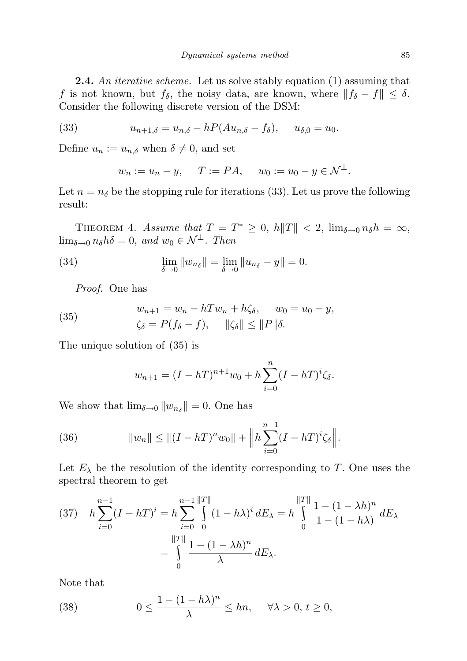**2.4.** An *iterative scheme*. Let us solve stably equation (1) assuming that f is not known, but  $f_{\delta}$ , the noisy data, are known, where  $||f_{\delta} - f|| \leq \delta$ . Consider the following discrete version of the DSM:

(33) 
$$
u_{n+1,\delta} = u_{n,\delta} - hP(Au_{n,\delta} - f_{\delta}), \quad u_{\delta,0} = u_0.
$$

Define  $u_n := u_{n,\delta}$  when  $\delta \neq 0$ , and set

$$
w_n := u_n - y
$$
,  $T := PA$ ,  $w_0 := u_0 - y \in \mathcal{N}^{\perp}$ .

Let  $n = n_{\delta}$  be the stopping rule for iterations (33). Let us prove the following result:

THEOREM 4. Assume that  $T = T^* \geq 0$ ,  $h||T|| < 2$ ,  $\lim_{\delta \to 0} n_{\delta} h = \infty$ ,  $\lim_{\delta \to 0} n_{\delta} h \delta = 0$ , and  $w_0 \in \mathcal{N}^{\perp}$ . Then

(34) 
$$
\lim_{\delta \to 0} ||w_{n_{\delta}}|| = \lim_{\delta \to 0} ||u_{n_{\delta}} - y|| = 0.
$$

Proof. One has

(35) 
$$
w_{n+1} = w_n - hTw_n + h\zeta_{\delta}, \quad w_0 = u_0 - y, \n\zeta_{\delta} = P(f_{\delta} - f), \quad ||\zeta_{\delta}|| \le ||P||\delta.
$$

The unique solution of (35) is

$$
w_{n+1} = (I - hT)^{n+1}w_0 + h\sum_{i=0}^{n} (I - hT)^i \zeta_{\delta}.
$$

We show that  $\lim_{\delta \to 0} ||w_{n_{\delta}}|| = 0$ . One has

(36) 
$$
||w_n|| \le ||(I - hT)^n w_0|| + ||h \sum_{i=0}^{n-1} (I - hT)^i \zeta_{\delta}||.
$$

Let  $E_{\lambda}$  be the resolution of the identity corresponding to T. One uses the spectral theorem to get

$$
(37) \quad h \sum_{i=0}^{n-1} (I - hT)^i = h \sum_{i=0}^{n-1} \int_{0}^{||T||} (1 - h\lambda)^i \, dE_\lambda = h \int_{0}^{||T||} \frac{1 - (1 - \lambda h)^n}{1 - (1 - h\lambda)} \, dE_\lambda
$$

$$
= \int_{0}^{||T||} \frac{1 - (1 - \lambda h)^n}{\lambda} \, dE_\lambda.
$$

Note that

(38) 
$$
0 \le \frac{1 - (1 - h\lambda)^n}{\lambda} \le hn, \quad \forall \lambda > 0, t \ge 0,
$$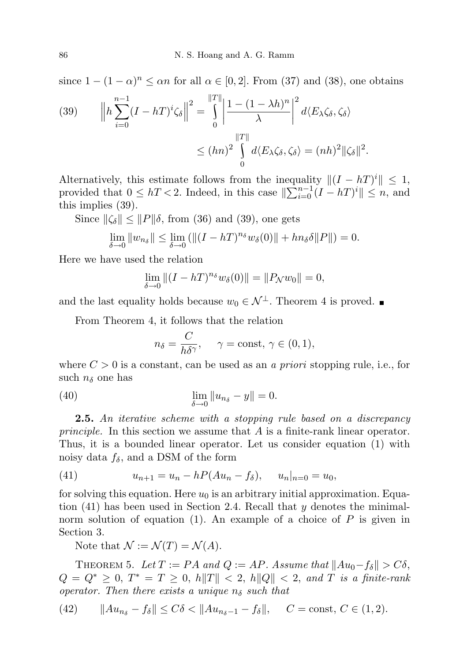since  $1 - (1 - \alpha)^n \le \alpha n$  for all  $\alpha \in [0, 2]$ . From (37) and (38), one obtains

(39) 
$$
\left\|h\sum_{i=0}^{n-1} (I - hT)^i \zeta_{\delta}\right\|^2 = \int_0^{\|T\|} \left|\frac{1 - (1 - \lambda h)^n}{\lambda}\right|^2 d\langle E_{\lambda} \zeta_{\delta}, \zeta_{\delta}\rangle
$$

$$
\leq (hn)^2 \int_0^{\|T\|} d\langle E_{\lambda} \zeta_{\delta}, \zeta_{\delta}\rangle = (nh)^2 \|\zeta_{\delta}\|^2.
$$

Alternatively, this estimate follows from the inequality  $\|(I - hT)^i\| \leq 1$ , provided that  $0 \le hT < 2$ . Indeed, in this case  $\|\sum_{i=0}^{n-1} (I - hT)^i\| \le n$ , and this implies (39).

Since  $\|\zeta_{\delta}\| \leq \|P\|\delta$ , from (36) and (39), one gets

$$
\lim_{\delta \to 0} \|w_{n_{\delta}}\| \le \lim_{\delta \to 0} (\|(I - hT)^{n_{\delta}} w_{\delta}(0)\| + hn_{\delta} \delta \|P\|) = 0.
$$

Here we have used the relation

$$
\lim_{\delta \to 0} \|(I - hT)^{n_{\delta}} w_{\delta}(0)\| = \|P_{\mathcal{N}} w_0\| = 0,
$$

and the last equality holds because  $w_0 \in \mathcal{N}^{\perp}$ . Theorem 4 is proved.

From Theorem 4, it follows that the relation

$$
n_{\delta} = \frac{C}{h\delta^{\gamma}}, \quad \gamma = \text{const}, \, \gamma \in (0,1),
$$

where  $C > 0$  is a constant, can be used as an *a priori* stopping rule, i.e., for such  $n_{\delta}$  one has

(40) 
$$
\lim_{\delta \to 0} \|u_{n_{\delta}} - y\| = 0.
$$

**2.5.** An iterative scheme with a stopping rule based on a discrepancy *principle.* In this section we assume that  $A$  is a finite-rank linear operator. Thus, it is a bounded linear operator. Let us consider equation (1) with noisy data  $f_{\delta}$ , and a DSM of the form

(41) 
$$
u_{n+1} = u_n - hP(Au_n - f_\delta), \quad u_n|_{n=0} = u_0,
$$

for solving this equation. Here  $u_0$  is an arbitrary initial approximation. Equation  $(41)$  has been used in Section 2.4. Recall that y denotes the minimalnorm solution of equation (1). An example of a choice of  $P$  is given in Section 3.

Note that  $\mathcal{N} := \mathcal{N}(T) = \mathcal{N}(A)$ .

THEOREM 5. Let  $T := PA$  and  $Q := AP$ . Assume that  $||Au_0 - f_\delta|| > C\delta$ ,  $Q = Q^* \geq 0, T^* = T \geq 0, h||T|| < 2, h||Q|| < 2, and T$  is a finite-rank operator. Then there exists a unique  $n_{\delta}$  such that

(42) 
$$
||Au_{n_{\delta}} - f_{\delta}|| \leq C\delta < ||Au_{n_{\delta}-1} - f_{\delta}||
$$
,  $C = \text{const}, C \in (1, 2)$ .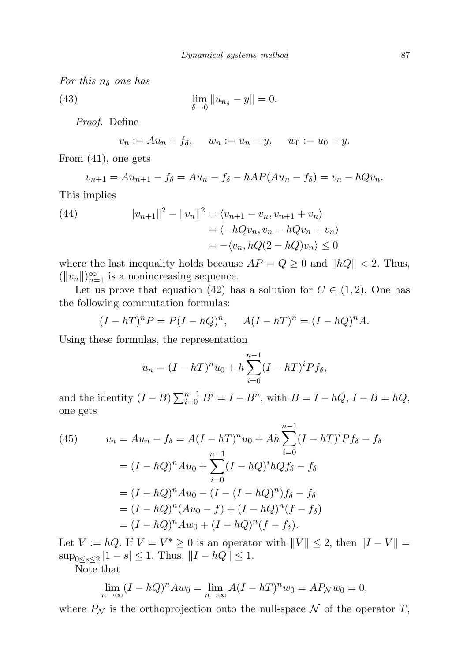For this  $n_{\delta}$  one has

(43)  $\lim_{\delta \to 0} ||u_{n_{\delta}} - y|| = 0.$ 

Proof. Define

 $v_n := Au_n - f_\delta, \quad w_n := u_n - y, \quad w_0 := u_0 - y.$ 

From (41), one gets

$$
v_{n+1} = Au_{n+1} - f_{\delta} = Au_n - f_{\delta} - hAP(Au_n - f_{\delta}) = v_n - hQv_n.
$$

This implies

(44) 
$$
||v_{n+1}||^2 - ||v_n||^2 = \langle v_{n+1} - v_n, v_{n+1} + v_n \rangle
$$

$$
= \langle -hQv_n, v_n - hQv_n + v_n \rangle
$$

$$
= -\langle v_n, hQ(2 - hQ)v_n \rangle \le 0
$$

where the last inequality holds because  $AP = Q \geq 0$  and  $||hQ|| < 2$ . Thus,  $(||v_n||)_{n=1}^{\infty}$  is a nonincreasing sequence.

Let us prove that equation (42) has a solution for  $C \in (1, 2)$ . One has the following commutation formulas:

$$
(I - hT)nP = P(I - hQ)n, A(I - hT)n = (I - hQ)nA.
$$

Using these formulas, the representation

$$
u_n = (I - hT)^n u_0 + h \sum_{i=0}^{n-1} (I - hT)^i P f_\delta,
$$

and the identity  $(I - B) \sum_{i=0}^{n-1} B^i = I - B^n$ , with  $B = I - hQ$ ,  $I - B = hQ$ , one gets

(45) 
$$
v_n = Au_n - f_\delta = A(I - hT)^n u_0 + Ah \sum_{i=0}^{n-1} (I - hT)^i P f_\delta - f_\delta
$$

$$
= (I - hQ)^n A u_0 + \sum_{i=0}^{n-1} (I - hQ)^i hQ f_\delta - f_\delta
$$

$$
= (I - hQ)^n A u_0 - (I - (I - hQ)^n) f_\delta - f_\delta
$$

$$
= (I - hQ)^n (Au_0 - f) + (I - hQ)^n (f - f_\delta)
$$

$$
= (I - hQ)^n A w_0 + (I - hQ)^n (f - f_\delta).
$$

Let  $V := hQ$ . If  $V = V^* \geq 0$  is an operator with  $||V|| \leq 2$ , then  $||I - V|| =$  $\sup_{0 \le s \le 2} |1 - s| \le 1$ . Thus,  $||I - hQ|| \le 1$ .

Note that

$$
\lim_{n \to \infty} (I - hQ)^n A w_0 = \lim_{n \to \infty} A (I - hT)^n w_0 = A P_N w_0 = 0,
$$

where  $P_N$  is the orthoprojection onto the null-space N of the operator T,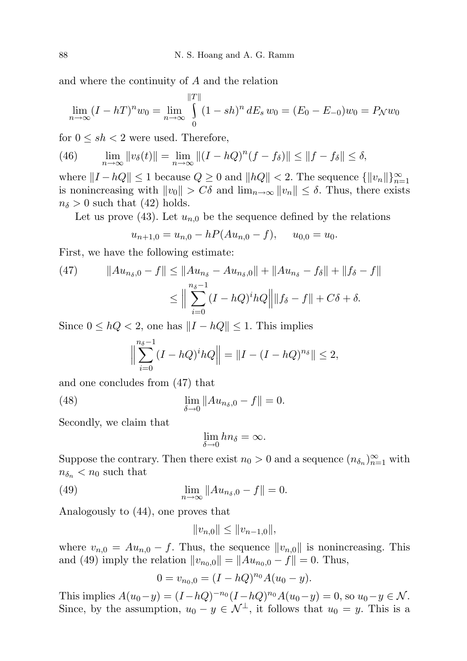and where the continuity of A and the relation

$$
\lim_{n \to \infty} (I - hT)^n w_0 = \lim_{n \to \infty} \int_0^{\|T\|} (1 - sh)^n dE_s w_0 = (E_0 - E_{-0})w_0 = P_N w_0
$$

for  $0 \leq sh < 2$  were used. Therefore,

(46) 
$$
\lim_{n \to \infty} ||v_{\delta}(t)|| = \lim_{n \to \infty} ||(I - hQ)^{n}(f - f_{\delta})|| \le ||f - f_{\delta}|| \le \delta,
$$

where  $||I - hQ|| \le 1$  because  $Q \ge 0$  and  $||hQ|| < 2$ . The sequence  ${||v_n||}_{n=1}^{\infty}$ is nonincreasing with  $||v_0|| > C\delta$  and  $\lim_{n\to\infty} ||v_n|| \leq \delta$ . Thus, there exists  $n_{\delta} > 0$  such that (42) holds.

Let us prove (43). Let  $u_{n,0}$  be the sequence defined by the relations

$$
u_{n+1,0} = u_{n,0} - hP(Au_{n,0} - f), \quad u_{0,0} = u_0.
$$

First, we have the following estimate:

(47) 
$$
||Au_{n_{\delta},0} - f|| \le ||Au_{n_{\delta}} - Au_{n_{\delta},0}|| + ||Au_{n_{\delta}} - f_{\delta}|| + ||f_{\delta} - f||
$$

$$
\le ||\sum_{i=0}^{n_{\delta}-1} (I - hQ)^{i}hQ|| ||f_{\delta} - f|| + C\delta + \delta.
$$

Since  $0 \leq hQ < 2$ , one has  $||I - hQ|| \leq 1$ . This implies

$$
\Big\|\sum_{i=0}^{n_{\delta}-1} (I - hQ)^{i} hQ\Big\| = \|I - (I - hQ)^{n_{\delta}}\| \le 2,
$$

and one concludes from (47) that

(48) 
$$
\lim_{\delta \to 0} \|Au_{n_{\delta},0} - f\| = 0.
$$

Secondly, we claim that

$$
\lim_{\delta \to 0} h n_{\delta} = \infty.
$$

Suppose the contrary. Then there exist  $n_0 > 0$  and a sequence  $(n_{\delta_n})_{n=1}^{\infty}$  with  $n_{\delta_n}$  <  $n_0$  such that

(49) 
$$
\lim_{n \to \infty} ||Au_{n_{\delta},0} - f|| = 0.
$$

Analogously to (44), one proves that

$$
||v_{n,0}|| \le ||v_{n-1,0}||,
$$

where  $v_{n,0} = Au_{n,0} - f$ . Thus, the sequence  $||v_{n,0}||$  is nonincreasing. This and (49) imply the relation  $||v_{n_0,0}|| = ||Au_{n_0,0} - f|| = 0$ . Thus,

$$
0 = v_{n_0,0} = (I - hQ)^{n_0} A(u_0 - y).
$$

This implies  $A(u_0 - y) = (I - hQ)^{-n_0} (I - hQ)^{n_0} A(u_0 - y) = 0$ , so  $u_0 - y \in \mathcal{N}$ . Since, by the assumption,  $u_0 - y \in \mathcal{N}^{\perp}$ , it follows that  $u_0 = y$ . This is a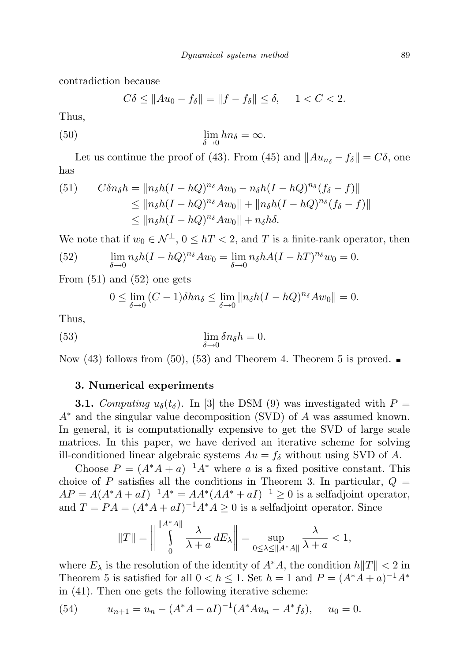contradiction because

$$
C\delta \le \|Au_0 - f_\delta\| = \|f - f_\delta\| \le \delta, \quad 1 < C < 2.
$$

Thus,

(50) 
$$
\lim_{\delta \to 0} h n_{\delta} = \infty.
$$

Let us continue the proof of (43). From (45) and  $||Au_{n\delta} - f_{\delta}|| = C\delta$ , one has

(51) 
$$
C\delta n_{\delta}h = ||n_{\delta}h(I-hQ)^{n_{\delta}}Aw_0 - n_{\delta}h(I-hQ)^{n_{\delta}}(f_{\delta}-f)||
$$
  
\n
$$
\leq ||n_{\delta}h(I-hQ)^{n_{\delta}}Aw_0|| + ||n_{\delta}h(I-hQ)^{n_{\delta}}(f_{\delta}-f)||
$$
  
\n
$$
\leq ||n_{\delta}h(I-hQ)^{n_{\delta}}Aw_0|| + n_{\delta}h\delta.
$$

We note that if  $w_0 \in \mathcal{N}^{\perp}$ ,  $0 \le hT < 2$ , and T is a finite-rank operator, then

(52) 
$$
\lim_{\delta \to 0} n_{\delta} h (I - hQ)^{n_{\delta}} A w_0 = \lim_{\delta \to 0} n_{\delta} h A (I - hT)^{n_{\delta}} w_0 = 0.
$$

From (51) and (52) one gets

$$
0 \le \lim_{\delta \to 0} (C - 1)\delta h n_{\delta} \le \lim_{\delta \to 0} ||n_{\delta}h(I - hQ)^{n_{\delta}} A w_0|| = 0.
$$

Thus,

(53) 
$$
\lim_{\delta \to 0} \delta n_{\delta} h = 0.
$$

Now (43) follows from (50), (53) and Theorem 4. Theorem 5 is proved.  $\blacksquare$ 

## 3. Numerical experiments

**3.1.** Computing  $u_{\delta}(t_{\delta})$ . In [3] the DSM (9) was investigated with  $P =$  $A^*$  and the singular value decomposition (SVD) of A was assumed known. In general, it is computationally expensive to get the SVD of large scale matrices. In this paper, we have derived an iterative scheme for solving ill-conditioned linear algebraic systems  $Au = f_{\delta}$  without using SVD of A.

Choose  $P = (A^*A + a)^{-1}A^*$  where a is a fixed positive constant. This choice of P satisfies all the conditions in Theorem 3. In particular,  $Q =$  $AP = A(A^*A + aI)^{-1}A^* = AA^*(AA^* + aI)^{-1} \geq 0$  is a selfadjoint operator, and  $T = PA = (A^*A + aI)^{-1}A^*A \geq 0$  is a selfadjoint operator. Since

$$
||T|| = \bigg\|\int\limits_{0}^{||A^*A||} \frac{\lambda}{\lambda+a} \, dE_\lambda\bigg\| = \sup_{0\leq \lambda \leq ||A^*A||} \frac{\lambda}{\lambda+a} < 1,
$$

where  $E_{\lambda}$  is the resolution of the identity of  $A^*A$ , the condition  $h||T|| < 2$  in Theorem 5 is satisfied for all  $0 < h \leq 1$ . Set  $h = 1$  and  $P = (A^*A + a)^{-1}A^*$ in (41). Then one gets the following iterative scheme:

(54) 
$$
u_{n+1} = u_n - (A^*A + aI)^{-1}(A^*Au_n - A^*f_\delta), \quad u_0 = 0.
$$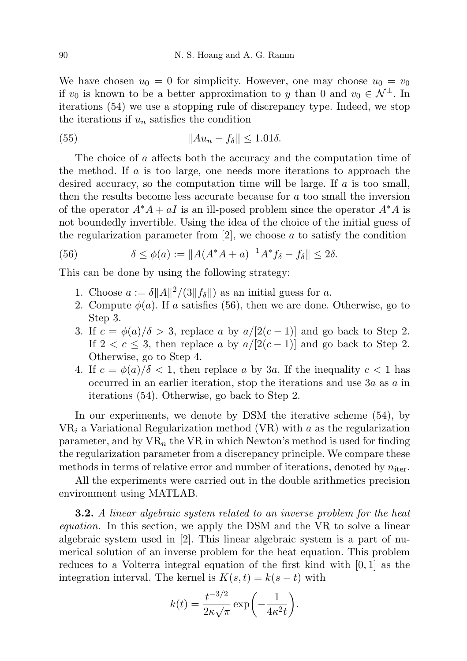We have chosen  $u_0 = 0$  for simplicity. However, one may choose  $u_0 = v_0$ if  $v_0$  is known to be a better approximation to y than 0 and  $v_0 \in \mathcal{N}^{\perp}$ . In iterations (54) we use a stopping rule of discrepancy type. Indeed, we stop the iterations if  $u_n$  satisfies the condition

(55) kAu<sup>n</sup> − fδk ≤ 1.01δ.

The choice of a affects both the accuracy and the computation time of the method. If a is too large, one needs more iterations to approach the desired accuracy, so the computation time will be large. If a is too small, then the results become less accurate because for a too small the inversion of the operator  $A^*A + aI$  is an ill-posed problem since the operator  $A^*A$  is not boundedly invertible. Using the idea of the choice of the initial guess of the regularization parameter from  $[2]$ , we choose  $a$  to satisfy the condition

(56) 
$$
\delta \le \phi(a) := \|A(A^*A + a)^{-1}A^*f_\delta - f_\delta\| \le 2\delta.
$$

This can be done by using the following strategy:

- 1. Choose  $a := \delta ||A||^2 / (3||f_\delta||)$  as an initial guess for a.
- 2. Compute  $\phi(a)$ . If a satisfies (56), then we are done. Otherwise, go to Step 3.
- 3. If  $c = \phi(a)/\delta > 3$ , replace a by  $a/[2(c-1)]$  and go back to Step 2. If  $2 < c \leq 3$ , then replace a by  $a/[2(c-1)]$  and go back to Step 2. Otherwise, go to Step 4.
- 4. If  $c = \phi(a)/\delta < 1$ , then replace a by 3a. If the inequality  $c < 1$  has occurred in an earlier iteration, stop the iterations and use 3a as a in iterations (54). Otherwise, go back to Step 2.

In our experiments, we denote by DSM the iterative scheme (54), by  $VR_i$  a Variational Regularization method (VR) with a as the regularization parameter, and by  $VR_n$  the VR in which Newton's method is used for finding the regularization parameter from a discrepancy principle. We compare these methods in terms of relative error and number of iterations, denoted by  $n_{\text{iter}}$ .

All the experiments were carried out in the double arithmetics precision environment using MATLAB.

**3.2.** A linear algebraic system related to an inverse problem for the heat equation. In this section, we apply the DSM and the VR to solve a linear algebraic system used in [2]. This linear algebraic system is a part of numerical solution of an inverse problem for the heat equation. This problem reduces to a Volterra integral equation of the first kind with [0, 1] as the integration interval. The kernel is  $K(s,t) = k(s-t)$  with

$$
k(t) = \frac{t^{-3/2}}{2\kappa\sqrt{\pi}} \exp\left(-\frac{1}{4\kappa^2 t}\right).
$$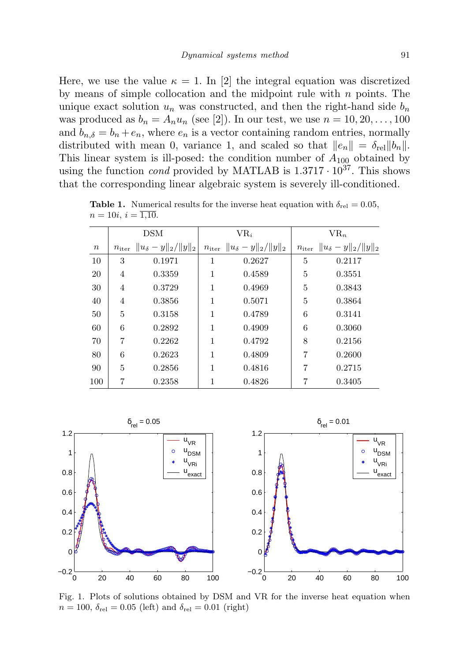Here, we use the value  $\kappa = 1$ . In [2] the integral equation was discretized by means of simple collocation and the midpoint rule with  $n$  points. The unique exact solution  $u_n$  was constructed, and then the right-hand side  $b_n$ was produced as  $b_n = A_n u_n$  (see [2]). In our test, we use  $n = 10, 20, \ldots, 100$ and  $b_{n,\delta} = b_n + e_n$ , where  $e_n$  is a vector containing random entries, normally distributed with mean 0, variance 1, and scaled so that  $||e_n|| = \delta_{\text{rel}} ||b_n||$ . This linear system is ill-posed: the condition number of  $A_{100}$  obtained by using the function *cond* provided by MATLAB is  $1.3717 \cdot 10^{37}$ . This shows that the corresponding linear algebraic system is severely ill-conditioned.

|        | DSM |                                                  | $VR_i$         |                                | $VR_n$ |                                                  |
|--------|-----|--------------------------------------------------|----------------|--------------------------------|--------|--------------------------------------------------|
| $\, n$ |     | $n_{\text{iter}}$ $  u_{\delta} - y  _2/  y  _2$ | $n_{\rm iter}$ | $  u_{\delta} - y  _2/  y  _2$ |        | $n_{\text{iter}}$ $  u_{\delta} - y  _2/  y  _2$ |
| 10     | 3   | 0.1971                                           | 1              | 0.2627                         | 5      | 0.2117                                           |
| 20     | 4   | 0.3359                                           | 1              | 0.4589                         | 5      | 0.3551                                           |
| 30     | 4   | 0.3729                                           | 1              | 0.4969                         | 5      | 0.3843                                           |
| 40     | 4   | 0.3856                                           | 1              | 0.5071                         | 5      | 0.3864                                           |
| 50     | 5   | 0.3158                                           | 1              | 0.4789                         | 6      | 0.3141                                           |
| 60     | 6   | 0.2892                                           | 1              | 0.4909                         | 6      | 0.3060                                           |
| 70     | 7   | 0.2262                                           | 1              | 0.4792                         | 8      | 0.2156                                           |
| 80     | 6   | 0.2623                                           | 1              | 0.4809                         | 7      | 0.2600                                           |
| 90     | 5   | 0.2856                                           | 1              | 0.4816                         | 7      | 0.2715                                           |
| 100    | 7   | 0.2358                                           | 1              | 0.4826                         |        | 0.3405                                           |

**Table 1.** Numerical results for the inverse heat equation with  $\delta_{rel} = 0.05$ ,  $n = 10i, i = \overline{1,10}.$ 



Fig. 1. Plots of solutions obtained by DSM and VR for the inverse heat equation when  $n = 100$ ,  $\delta_{\text{rel}} = 0.05$  (left) and  $\delta_{\text{rel}} = 0.01$  (right)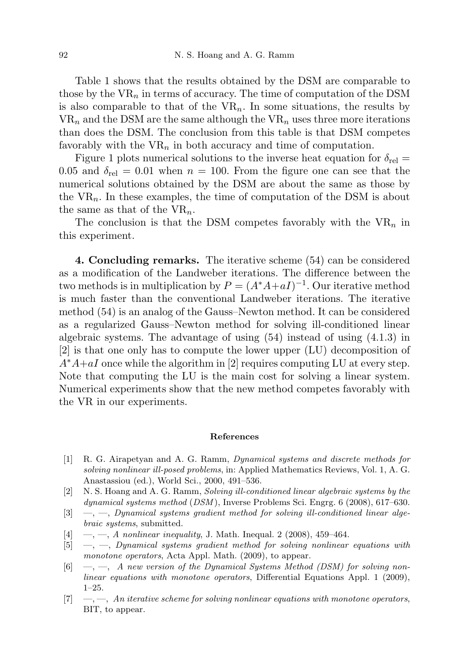Table 1 shows that the results obtained by the DSM are comparable to those by the  $VR_n$  in terms of accuracy. The time of computation of the DSM is also comparable to that of the  $VR_n$ . In some situations, the results by  $VR_n$  and the DSM are the same although the  $VR_n$  uses three more iterations than does the DSM. The conclusion from this table is that DSM competes favorably with the  $VR_n$  in both accuracy and time of computation.

Figure 1 plots numerical solutions to the inverse heat equation for  $\delta_{\text{rel}} =$ 0.05 and  $\delta_{\text{rel}} = 0.01$  when  $n = 100$ . From the figure one can see that the numerical solutions obtained by the DSM are about the same as those by the  $VR_n$ . In these examples, the time of computation of the DSM is about the same as that of the  $VR_n$ .

The conclusion is that the DSM competes favorably with the  $VR_n$  in this experiment.

4. Concluding remarks. The iterative scheme (54) can be considered as a modification of the Landweber iterations. The difference between the two methods is in multiplication by  $P = (A^*A + aI)^{-1}$ . Our iterative method is much faster than the conventional Landweber iterations. The iterative method (54) is an analog of the Gauss–Newton method. It can be considered as a regularized Gauss–Newton method for solving ill-conditioned linear algebraic systems. The advantage of using  $(54)$  instead of using  $(4.1.3)$  in [2] is that one only has to compute the lower upper (LU) decomposition of  $A^*A+aI$  once while the algorithm in [2] requires computing LU at every step. Note that computing the LU is the main cost for solving a linear system. Numerical experiments show that the new method competes favorably with the VR in our experiments.

## References

- [1] R. G. Airapetyan and A. G. Ramm, Dynamical systems and discrete methods for solving nonlinear ill-posed problems, in: Applied Mathematics Reviews, Vol. 1, A. G. Anastassiou (ed.), World Sci., 2000, 491–536.
- [2] N. S. Hoang and A. G. Ramm, Solving ill-conditioned linear algebraic systems by the dynamical systems method (DSM ), Inverse Problems Sci. Engrg. 6 (2008), 617–630.
- $[3] \quad -$ ,  $\quad$ , Dynamical systems gradient method for solving ill-conditioned linear algebraic systems, submitted.
- [4]  $\,\, -,-$ , A nonlinear inequality, J. Math. Inequal. 2 (2008), 459-464.
- $[5] \quad \text{---}, \quad \text{Dynamic}$  systems gradient method for solving nonlinear equations with monotone operators, Acta Appl. Math. (2009), to appear.
- $[6] \quad -,-$ , A new version of the Dynamical Systems Method (DSM) for solving nonlinear equations with monotone operators, Differential Equations Appl. 1 (2009), 1–25.
- $[7] \quad -,-$ , An iterative scheme for solving nonlinear equations with monotone operators, BIT, to appear.